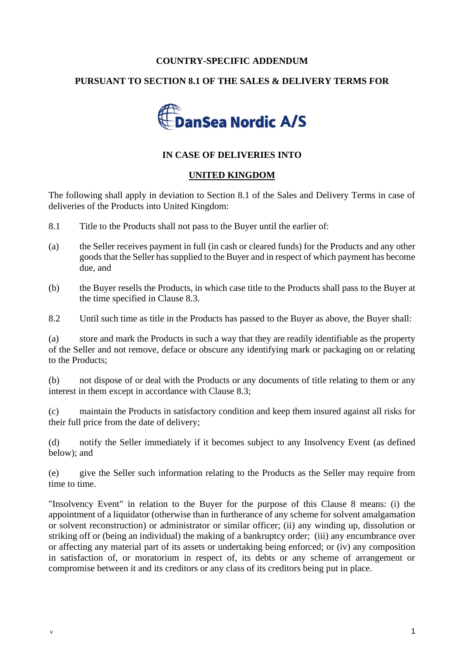## **COUNTRY-SPECIFIC ADDENDUM**

## **PURSUANT TO SECTION 8.1 OF THE SALES & DELIVERY TERMS FOR**



## **IN CASE OF DELIVERIES INTO**

## **UNITED KINGDOM**

The following shall apply in deviation to Section 8.1 of the Sales and Delivery Terms in case of deliveries of the Products into United Kingdom:

- 8.1 Title to the Products shall not pass to the Buyer until the earlier of:
- (a) the Seller receives payment in full (in cash or cleared funds) for the Products and any other goods that the Seller has supplied to the Buyer and in respect of which payment has become due, and
- (b) the Buyer resells the Products, in which case title to the Products shall pass to the Buyer at the time specified in Clause 8.3.

8.2 Until such time as title in the Products has passed to the Buyer as above, the Buyer shall:

(a) store and mark the Products in such a way that they are readily identifiable as the property of the Seller and not remove, deface or obscure any identifying mark or packaging on or relating to the Products;

(b) not dispose of or deal with the Products or any documents of title relating to them or any interest in them except in accordance with Clause 8.3;

(c) maintain the Products in satisfactory condition and keep them insured against all risks for their full price from the date of delivery;

(d) notify the Seller immediately if it becomes subject to any Insolvency Event (as defined below); and

(e) give the Seller such information relating to the Products as the Seller may require from time to time.

"Insolvency Event" in relation to the Buyer for the purpose of this Clause 8 means: (i) the appointment of a liquidator (otherwise than in furtherance of any scheme for solvent amalgamation or solvent reconstruction) or administrator or similar officer; (ii) any winding up, dissolution or striking off or (being an individual) the making of a bankruptcy order; (iii) any encumbrance over or affecting any material part of its assets or undertaking being enforced; or (iv) any composition in satisfaction of, or moratorium in respect of, its debts or any scheme of arrangement or compromise between it and its creditors or any class of its creditors being put in place.